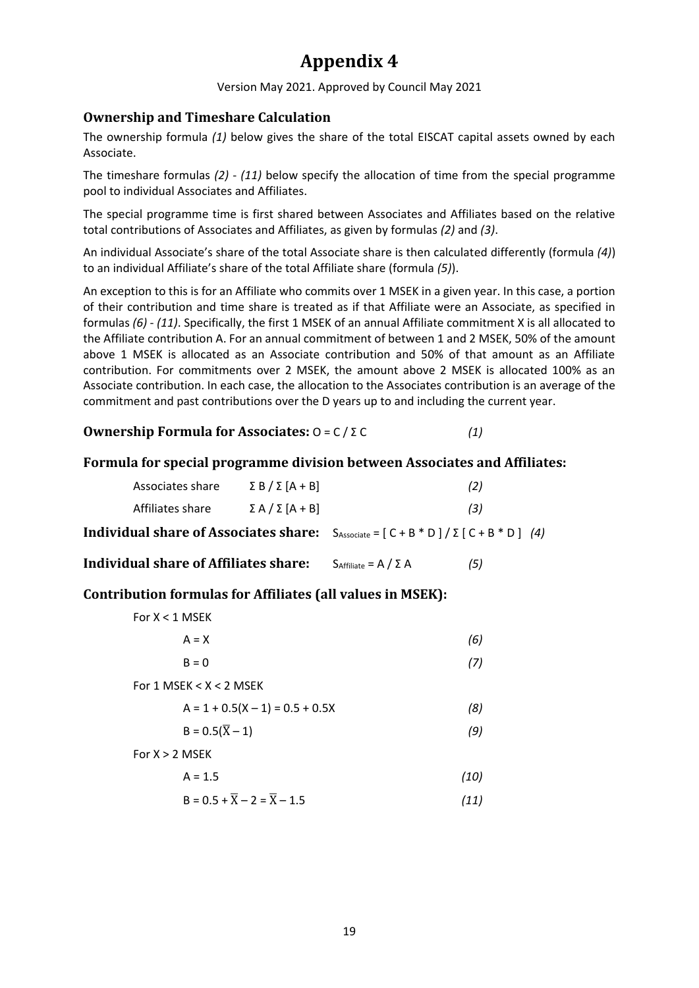# **Appendix 4**

Version May 2021. Approved by Council May 2021

## **Ownership and Timeshare Calculation**

The ownership formula *(1)* below gives the share of the total EISCAT capital assets owned by each Associate.

The timeshare formulas *(2)* - *(11)* below specify the allocation of time from the special programme pool to individual Associates and Affiliates.

The special programme time is first shared between Associates and Affiliates based on the relative total contributions of Associates and Affiliates, as given by formulas *(2)* and *(3)*.

An individual Associate's share of the total Associate share is then calculated differently (formula *(4)*) to an individual Affiliate's share of the total Affiliate share (formula *(5)*).

An exception to this is for an Affiliate who commits over 1 MSEK in a given year. In this case, a portion of their contribution and time share is treated as if that Affiliate were an Associate, as specified in formulas *(6)* - *(11)*. Specifically, the first 1 MSEK of an annual Affiliate commitment X is all allocated to the Affiliate contribution A. For an annual commitment of between 1 and 2 MSEK, 50% of the amount above 1 MSEK is allocated as an Associate contribution and 50% of that amount as an Affiliate contribution. For commitments over 2 MSEK, the amount above 2 MSEK is allocated 100% as an Associate contribution. In each case, the allocation to the Associates contribution is an average of the commitment and past contributions over the D years up to and including the current year.

**Ownership Formula for Associates:** O = C / Σ C *(1)*

### **Formula for special programme division between Associates and Affiliates:**

|                                       | Associates share                      | $\Sigma B / \Sigma [A + B]$ |                                                             | (2) |  |
|---------------------------------------|---------------------------------------|-----------------------------|-------------------------------------------------------------|-----|--|
|                                       | Affiliates share                      | $\Sigma A / \Sigma [A + B]$ |                                                             | (3) |  |
| Individual share of Associates share: |                                       |                             | $S_{\text{Associate}} = [C + B * D]/\Sigma [C + B * D]$ (4) |     |  |
|                                       | Individual share of Affiliates share: |                             | $S_{Affiliate} = A / \Sigma A$                              | (5) |  |

## **Contribution formulas for Affiliates (all values in MSEK):**

 $For V > 1$  MCEV

| IUIAN INDEN                                       |      |  |  |  |
|---------------------------------------------------|------|--|--|--|
| $A = X$                                           | (6)  |  |  |  |
| $B = 0$                                           | (7)  |  |  |  |
| For 1 MSEK $< X < 2$ MSEK                         |      |  |  |  |
| $A = 1 + 0.5(X - 1) = 0.5 + 0.5X$                 | (8)  |  |  |  |
| $B = 0.5(\bar{X} - 1)$                            | (9)  |  |  |  |
| For $X > 2$ MSEK                                  |      |  |  |  |
| $A = 1.5$                                         | (10) |  |  |  |
| $B = 0.5 + \overline{X} - 2 = \overline{X} - 1.5$ | (11) |  |  |  |
|                                                   |      |  |  |  |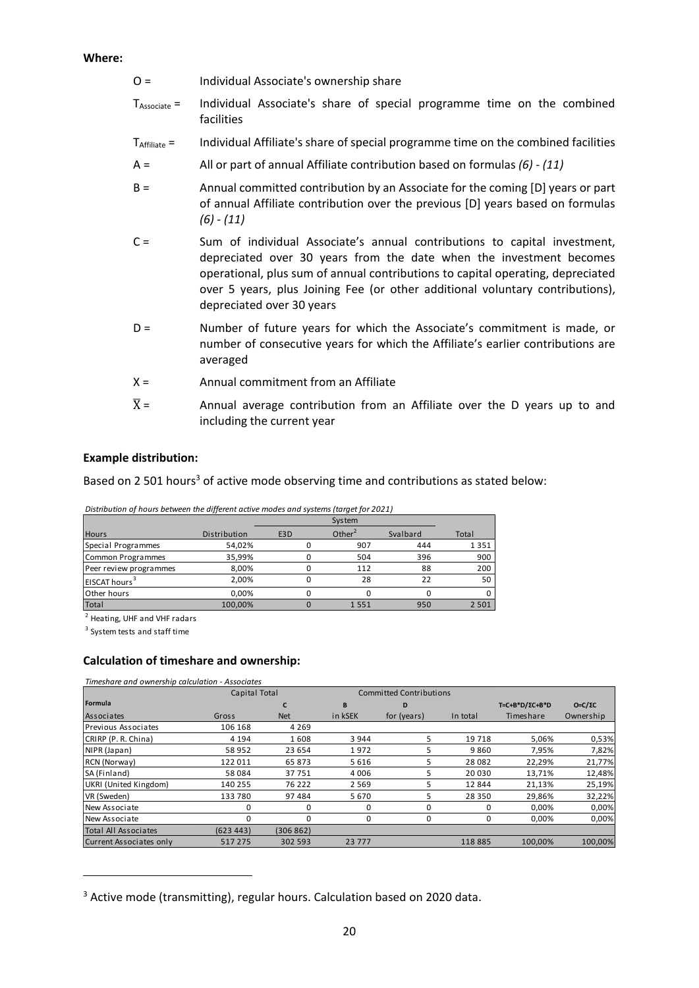#### **Where:**

- O = Individual Associate's ownership share
- TAssociate = Individual Associate's share of special programme time on the combined facilities
- TAffiliate = Individual Affiliate's share of special programme time on the combined facilities
- A = All or part of annual Affiliate contribution based on formulas *(6) (11)*
- B = Annual committed contribution by an Associate for the coming [D] years or part of annual Affiliate contribution over the previous [D] years based on formulas *(6)* - *(11)*
- C = Sum of individual Associate's annual contributions to capital investment, depreciated over 30 years from the date when the investment becomes operational, plus sum of annual contributions to capital operating, depreciated over 5 years, plus Joining Fee (or other additional voluntary contributions), depreciated over 30 years
- D = Number of future years for which the Associate's commitment is made, or number of consecutive years for which the Affiliate's earlier contributions are averaged
- $X =$  Annual commitment from an Affiliate
- $\overline{X}$  = Annual average contribution from an Affiliate over the D years up to and including the current year

#### **Example distribution:**

Based on 2 501 hours<sup>3</sup> of active mode observing time and contributions as stated below:

| Distribution of hours between the different active modes and systems (target for 2021) |  |
|----------------------------------------------------------------------------------------|--|
|                                                                                        |  |

| <b>Hours</b>              | Distribution | E <sub>3</sub> D | Other $2$ | Svalbard | Total   |
|---------------------------|--------------|------------------|-----------|----------|---------|
| Special Programmes        | 54,02%       |                  | 907       | 444      | 1351    |
| Common Programmes         | 35,99%       |                  | 504       | 396      | 900     |
| Peer review programmes    | 8,00%        |                  | 112       | 88       | 200     |
| EISCAT hours <sup>3</sup> | 2.00%        |                  | 28        | 22       | 50      |
| Other hours               | 0.00%        |                  |           |          | 0       |
| Total                     | 100.00%      |                  | 1551      | 950      | 2 5 0 1 |

2 Heating, UHF and VHF radars

<sup>3</sup> System tests and staff time

#### **Calculation of timeshare and ownership:**

| Timeshare and ownership calculation - Associates |               |            |                                |             |          |                        |                |
|--------------------------------------------------|---------------|------------|--------------------------------|-------------|----------|------------------------|----------------|
|                                                  | Capital Total |            | <b>Committed Contributions</b> |             |          |                        |                |
| Formula                                          |               | C          | B                              | D           |          | $T=C+B*D/\Sigma C+B*D$ | $O=C/\Sigma C$ |
| Associates                                       | Gross         | <b>Net</b> | in kSEK                        | for (years) | In total | Timeshare              | Ownership      |
| <b>Previous Associates</b>                       | 106 168       | 4 2 6 9    |                                |             |          |                        |                |
| CRIRP (P. R. China)                              | 4 1 9 4       | 1608       | 3 9 4 4                        | 5           | 19 7 18  | 5.06%                  | 0,53%          |
| NIPR (Japan)                                     | 58 952        | 23 654     | 1972                           | 5           | 9860     | 7,95%                  | 7,82%          |
| RCN (Norway)                                     | 122 011       | 65873      | 5616                           | 5           | 28 0 82  | 22,29%                 | 21,77%         |
| SA (Finland)                                     | 58 084        | 37751      | 4 0 0 6                        | 5           | 20 030   | 13,71%                 | 12,48%         |
| UKRI (United Kingdom)                            | 140 255       | 76 222     | 2 5 6 9                        | 5           | 12844    | 21,13%                 | 25,19%         |
| VR (Sweden)                                      | 133 780       | 97484      | 5670                           | 5           | 28 3 50  | 29,86%                 | 32,22%         |
| New Associate                                    | 0             | 0          | 0                              | 0           | 0        | 0,00%                  | 0,00%          |
| New Associate                                    |               | 0          | 0                              | 0           | 0        | 0,00%                  | 0,00%          |
| <b>Total All Associates</b>                      | (623443)      | (306862)   |                                |             |          |                        |                |
| Current Associates only                          | 517 275       | 302 593    | 23 7 7 7                       |             | 118885   | 100.00%                | 100,00%        |

<sup>&</sup>lt;sup>3</sup> Active mode (transmitting), regular hours. Calculation based on 2020 data.